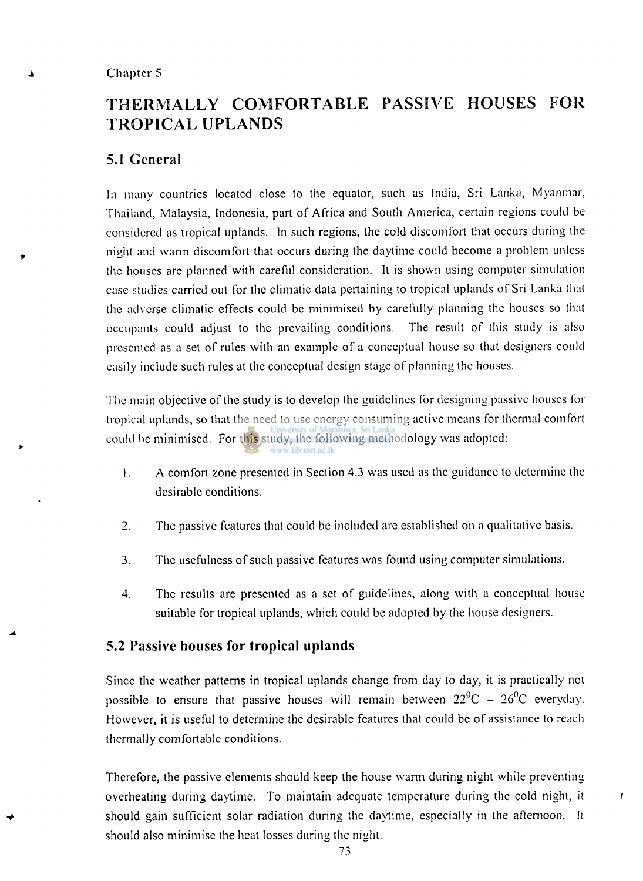### **Chapter 5**

# **THERMALL Y COMFORTABLE PASSIVE HOUSES FOR TROPICAL UPLANDS**

# **5.1 General**

In many countries located close to the equator, such as India, Sri Lanka, Myanmar, Thailand, Malaysia, Indonesia, part of Africa and South America, certain regions could be considered as tropical uplands. In such regions, the cold discomfort that occurs during the night and warm discomfort that occurs during the daytime could become a problem unless the houses are planned with careful consideration. It is shown using computer simulation case studies carried out for the climatic data pertaining to tropical uplands of Sri Lanka thai the adverse climatic effects could be minimised by carefully planning the houses so that occupants could adjust to the prevailing conditions. The result of this study is also presented as a set of rules with an example of a conceptual house so that designers could easily include such rules at the conceptual design stage of planning the houses.

The main objective of the study is to develop the guidelines for designing passive houses for tropical uplands, so that the need to use energy consuming active means for thermal comfort could be minimised. For this study, the following methodology was adopted:

- 1. A comfort zone presented in Section 4.3 was used as the guidance to determine the desirable conditions.
- 2. The passive features that could be included are established on a qualitative basis.
- 3. The usefulness of such passive features was found using computer simulations.
- 4. The results are presented as a set of guidelines, along with a conceptual house suitable for tropical uplands, which could be adopted by the house designers.

# **5.2 Passive houses for tropical uplands**

Since the weather patterns in tropical uplands change from day to day, it is practically not possible to ensure that passive houses will remain between  $22^0C - 26^0C$  everyday. However, it is useful to determine the desirable features that could be of assistance to reach thermally comfortable conditions.

Therefore, the passive elements should keep the house warm during night while preventing overheating during daytime. To maintain adequate temperature during the cold night, it should gain sufficient solar radiation during the daytime, especially in the afternoon. **It**  should also minimise the heat losses during the night.

 $\mathbf{f}$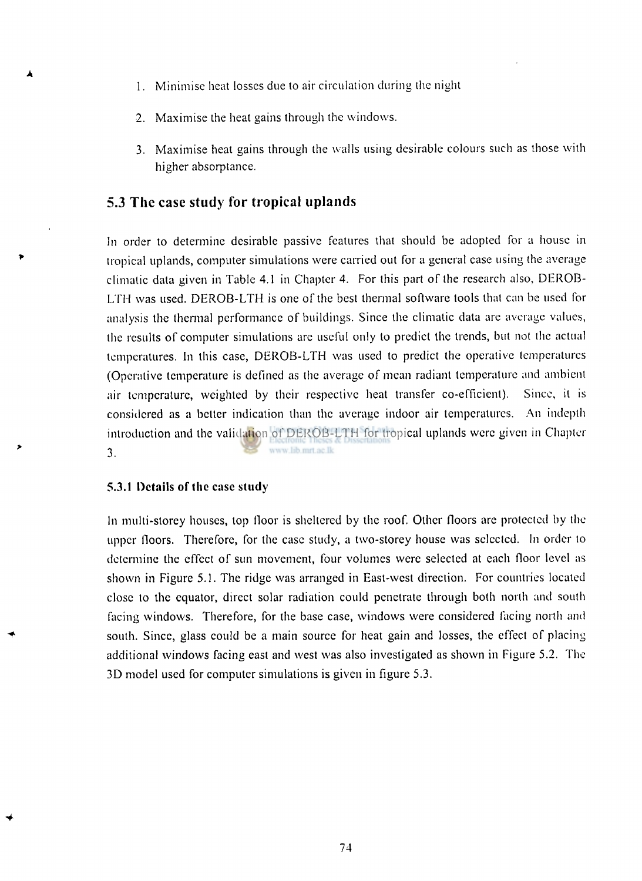- 1. Minimise heat losses due to air circulation during the night
- 2. Maximise the heat gains through the windows.
- 3. Maximise heat gains through the walls using desirable colours such as those with higher absorptance.

# **5.3 The case study for tropical uplands**

In order to determine desirable passive features that should be adopted for a house in tropical uplands, computer simulations were carried out for a general case using the average climatic data given in Table 4.1 in Chapter 4. For this part of the research also, DEROB-LTH was used. DEROB-LTH is one of the best thermal software tools that can be used for analysis the thermal performance of buildings. Since the climatic data are average values, the results of computer simulations are useful only to predict the trends, but not the actual temperatures. In this case, DEROB-LTH was used to predict the operative temperatures (Operative temperature is defined as the average of mean radiant temperature and ambient air temperature, weighted by their respective heat transfer co-efficient). Since, it is considered as a belter indication than the average indoor air temperatures. An indepth introduction and the validation of DEROB-LTH for tropical uplands were given in Chapter www.lib.mrt.ac.lk 3.

### **5.3.1 Details of the case study**

In multi-storey houses, top floor is sheltered by the roof. Other floors are protected by the upper floors. Therefore, for the case study, a two-storey house was selected. In order to determine the effect of sun movement, four volumes were selected at each floor level as shown in Figure 5.1. The ridge was arranged in East-west direction. For countries located close to the equator, direct solar radiation could penetrate through both north and south facing windows. Therefore, for the base case, windows were considered facing north and south. Since, glass could be a main source for heat gain and losses, the effect of placing additional windows facing east and west was also investigated as shown in Figure 5.2. The 3D model used for computer simulations is given in figure 5.3.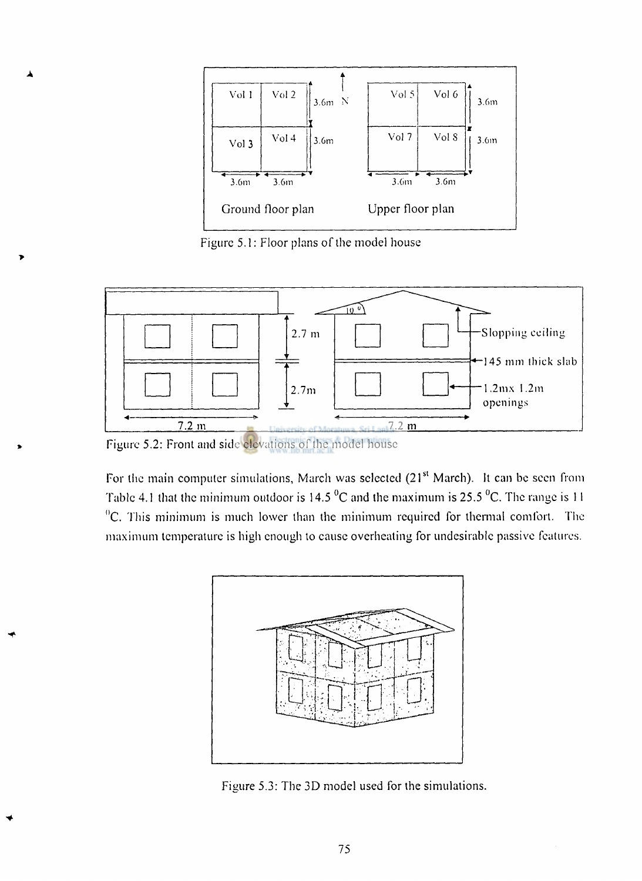

Figure 5.1: Floor plans of the model house



Figure 5.2: Front and side elevations of the model house

For the main computer simulations, March was selected (21<sup>s</sup> March). It can be seen from Table 4.1 that the minimum outdoor is  $14.5 \,^0$ C and the maximum is 25.5  $^0$ C. The range is 11  ${}^{0}$ C. This minimum is much lower than the minimum required for thermal comfort. The maximum temperature is high enough to cause overheating for undesirable passive features.



Figure 5.3: The 3D model used for the simulations.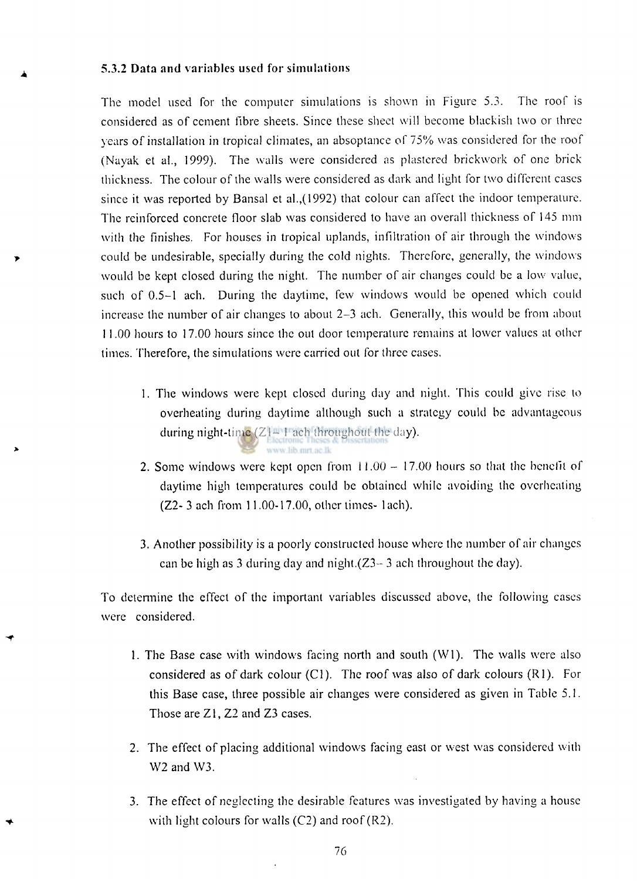#### **5.3.2 Data and variables used for simulations**

The model used for the computer simulations is shown in Figure 5.3. The roof is considered as of cement fibre sheets. Since these sheet will become blackish two or three years of installation in tropical climates, an absoptance of 75% was considered for the roof (Nayak et al., 1999). The walls were considered as plastered brickwork of one brick thickness. The colour of the walls were considered as dark and light for two different cases since it was reported by Bansal et al.,(1992) that colour can affect the indoor temperature. The reinforced concrete floor slab was considered to have an overall thickness of 145 mm with the finishes. For houses in tropical uplands, infiltration of air through the windows could be undesirable, specially during the cold nights. Therefore, generally, the windows would be kept closed during the night. The number of air changes could be a low value, such of 0.5-1 ach. During the daytime, few windows would be opened which could increase the number of air changes to about 2-3 ach. Generally, this would be from about 11.00 hours to 17.00 hours since the out door temperature remains at lower values at other times. Therefore, the simulations were carried out for three cases.

- 1. The windows were kept closed during day and night. This could give rise to overheating during daytime although such a strategy could be advantageous during night-time  $(Z^{\text{max}})$  ach throughout the day). www lib met ac lk
- 2. Some windows were kept open from  $11.00 17.00$  hours so that the benefit of daytime high temperatures could be obtained while avoiding the overheating (Z2- 3 ach from 11.00-17.00, other times- lach).
- 3. Another possibility is a poorly constructed house where the number of air changes can be high as 3 during day and night. $(Z3 - 3$  ach throughout the day).

To determine the effect of the important variables discussed above, the following cases were considered.

- 1. The Base case with windows facing north and south (Wl). The walls were also considered as of dark colour (CI). The roof was also of dark colours (Rl). For this Base case, three possible air changes were considered as given in Table 5.1. Those are Zl, Z2 and Z3 cases.
- 2. The effect of placing additional windows facing east or west was considered with  $W2$  and  $W3$ .
- 3. The effect of neglecting the desirable features was investigated by having a house with light colours for walls  $(C2)$  and roof  $(R2)$ .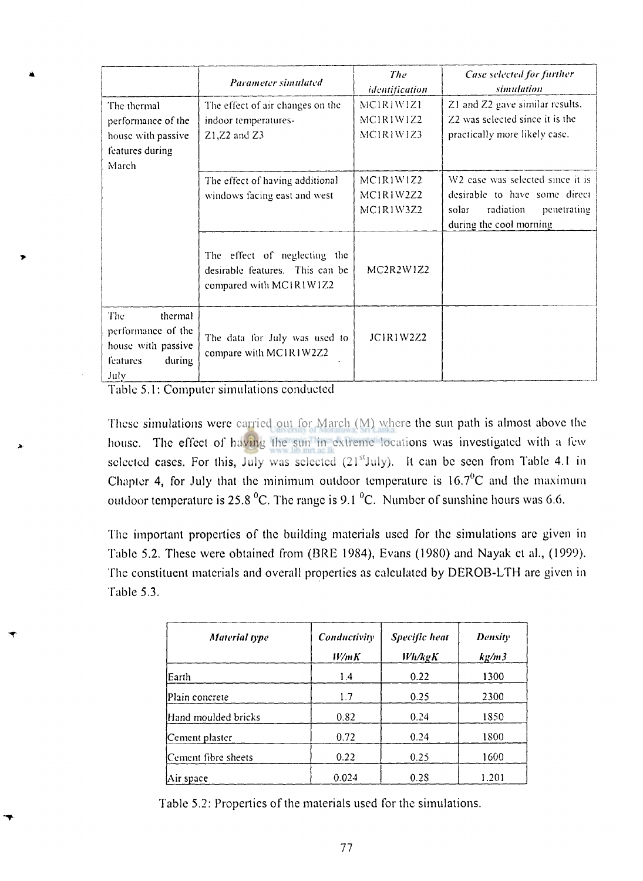|                                                                                                 | Parameter simulated                                                                        | The<br>identification                                        | <b>Case selected for further</b><br>simulation                                                                                                |
|-------------------------------------------------------------------------------------------------|--------------------------------------------------------------------------------------------|--------------------------------------------------------------|-----------------------------------------------------------------------------------------------------------------------------------------------|
| The thermal<br>performance of the<br>house with passive<br>features during<br>March             | The effect of air changes on the<br>indoor temperatures-<br>$Z1, Z2$ and $Z3$              | MC1R1W1Z1<br>MC1R1W1Z2<br>MCIRIW1Z3                          | Z1 and Z2 gave similar results.<br>Z2 was selected since it is the<br>practically more likely case.                                           |
|                                                                                                 | The effect of having additional<br>windows facing east and west                            | MCIRIWIZ2<br>MCIRIW2Z2<br>MC1R1W3Z2                          | W <sub>2</sub> case was selected since it is<br>desirable to have some direct<br>radiation<br>solar<br>penetrating<br>during the cool morning |
|                                                                                                 | The effect of neglecting the<br>desirable features. This can be<br>compared with MC1R1W1Z2 | MC <sub>2</sub> R <sub>2</sub> W <sub>1</sub> Z <sub>2</sub> |                                                                                                                                               |
| The<br>thermal<br>performance of the<br>house with passive<br><b>features</b><br>during<br>July | The data for July was used to<br>compare with MC1R1W2Z2                                    | JCIRIW2Z2                                                    |                                                                                                                                               |

Table 5.1: Computer simulations conducted

These simulations were carried out for March (M) where the sun path is almost above the house. The effect of having the sun in extreme locations was investigated with a few selected cases. For this, July was selected  $(21<sup>st</sup>July)$ . It can be seen from Table 4.1 in Chapter 4, for July that the minimum outdoor temperature is  $16.7\text{°C}$  and the maximum outdoor temperature is 25.8  $^{\circ}$ C. The range is 9.1  $^{\circ}$ C. Number of sunshine hours was 6.6.

The important properties of the building materials used for the simulations arc given in Table 5.2. These were obtained from (BRE 1984), Evans (1980) and Nayak et al., (1999). The constituent materials and overall properties as calculated by DEROB-LTH are given in Table 5.3.

| <b>Material type</b> | Conductivity<br>W/mK | <b>Specific heat</b><br>Wh/kgK | <b>Density</b><br>kg/m3 |
|----------------------|----------------------|--------------------------------|-------------------------|
| Earth                | 1.4                  | 0.22                           | 1300                    |
| Plain concrete       | 1.7                  | 0.25                           | 2300                    |
| Hand moulded bricks  | 0.82                 | 0.24                           | 1850                    |
| Cement plaster       | 0.72                 | 0.24                           | 1800                    |
| Cement fibre sheets  | 0.22                 | 0.25                           | 1600                    |
| Air space)           | 0.024                | 0.28                           | 1.201                   |

Table 5.2: Properties of the materials used for the simulations.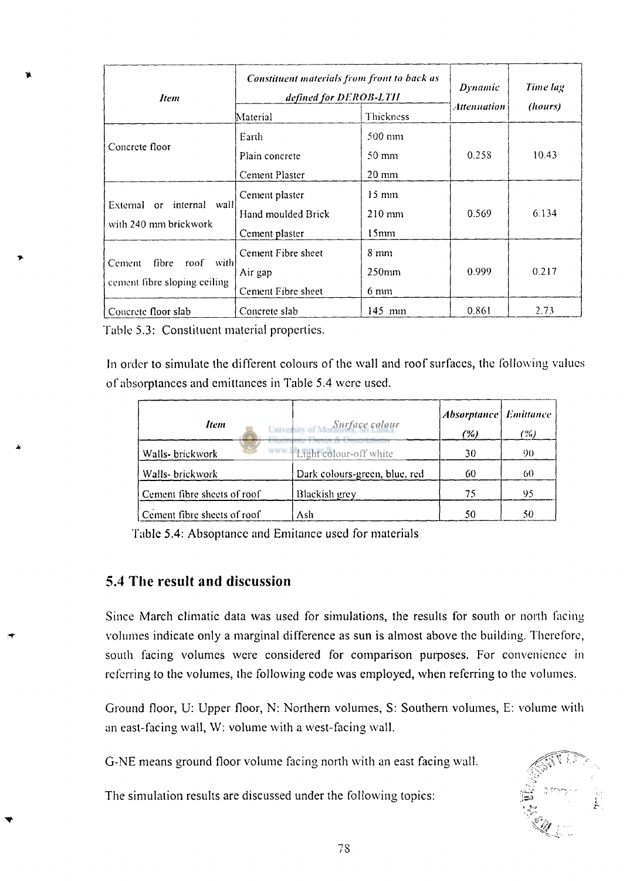| Item                                                                      | Constituent materials from front to back as<br>defined for DEROB-LTH<br>Thickness<br>Material |                                                | Dynamic<br>Attenuation | Time lag<br>(hours) |
|---------------------------------------------------------------------------|-----------------------------------------------------------------------------------------------|------------------------------------------------|------------------------|---------------------|
| Concrete floor                                                            | Earth<br>Plain concrete<br>Cement Plaster                                                     | 500 mm<br>$50 \text{ mm}$<br>$20 \text{ mm}$   | 0.258                  | 10.43               |
| External or internal wall<br>with 240 mm brickwork                        | Cement plaster<br>Hand moulded Brick<br>Cement plaster                                        | $15 \text{ mm}$<br>$210 \text{ mm}$<br>$15$ mm | 0.569                  | 6.134               |
| - with!<br>fibre<br>roof<br><b>Cement</b><br>cement fibre sloping ceiling | Cement Fibre sheet<br>Air gap<br>Cement Fibre sheet                                           | $8 \text{ mm}$<br>$250$ mm<br>$6 \text{ mm}$   | 0.999                  | 0.217               |
| Concrete floor slab                                                       | Concrete slab                                                                                 | 145 mm                                         | 0.861                  | 2.73                |

Table **5.3:** Constituent material properties.

In order to simulate the different colours of the wall and roof surfaces, the following values of absorptances and emiltances in Table **5.4** were used.

| Item                        | Surface colour<br>University of More | Absorptance Emittance<br>(%) | (%) |
|-----------------------------|--------------------------------------|------------------------------|-----|
| Walls- brickwork            | www. Light colour-off white          | 30                           | 90  |
| Walls- brickwork            | Dark colours-green, blue, red        | 60                           | 60  |
| Cement fibre sheets of roof | Blackish grey                        | 75                           | 95  |
| Cement fibre sheets of roof | Ash                                  | 50                           | 50  |

Table **5.4:** Absoptance and Emitance used for materials

# **5.4 The result and discussion**

Since March climatic data was used for simulations, the results for south or north facing volumes indicate only a marginal difference as sun is almost above the building. Therefore, south facing volumes were considered for comparison purposes. For convenience in referring to the volumes, the following code was employed, when referring to the volumes.

Ground floor, U: Upper floor, N: Northern volumes, S: Southern volumes, E: volume with an east-facing wall, W: volume with a west-facing wall.

G-NE means ground floor volume facing north with an east facing wall.

The simulation results are discussed under the following topics:

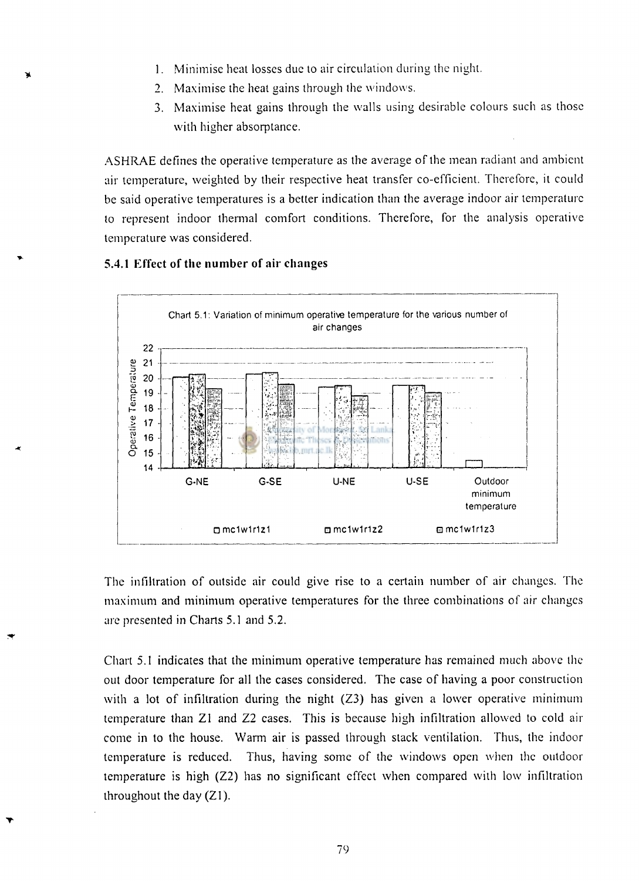- 1. Minimise heat losses due to air circulation during the night.
- 2. Maximise the heat gains through the windows.
- 3. Maximise heat gains through the walls using desirable colours such as those with higher absorptance.

ASHRAE defines the operative temperature as the average of the mean radiant and ambient air temperature, weighted by their respective heat transfer co-efficient. Therefore, it could be said operative temperatures is a better indication than the average indoor air temperature to represent indoor thermal comfort conditions. Therefore, for the analysis operative temperature was considered.



#### **5.4.1 Effect of the number of air changes**

The infiltration of outside air could give rise to a certain number of air changes. The maximum and minimum operative temperatures for the three combinations of air changes are presented in Charts 5.1 and 5.2.

Chart 5.1 indicates that the minimum operative temperature has remained much above the out door temperature for all the cases considered. The case of having a poor construction with a lot of infiltration during the night (Z3) has given a lower operative minimum temperature than Zl and Z2 cases. This is because high infiltration allowed to cold air come in to the house. Warm air is passed through stack ventilation. Thus, the indoor temperature is reduced. Thus, having some of the windows open when the outdoor temperature is high (Z2) has no significant effect when compared with low infiltration throughout the day (Zl).

**79**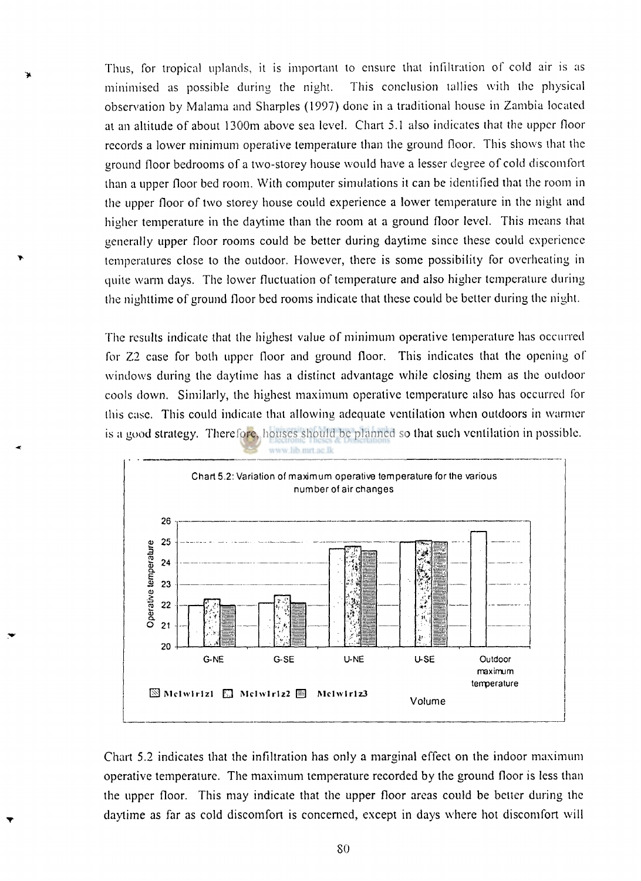Thus, for tropical uplands, it is important to ensure that infiltration of cold air is as minimised as possible during the night. This conclusion tallies with the physical observation by Malama and Sharpies (1997) done in a traditional house in Zambia located at an altitude of about 1300m above sea level. Chart 5.1 also indicates that the upper floor records a lower minimum operative temperature than the ground floor. This shows that the ground floor bedrooms of a two-storey house would have a lesser degree of cold discomfort than a upper floor bed room. With computer simulations it can be identified that the room in the upper floor of two storey house could experience a lower temperature in the night and higher temperature in the daytime than the room at a ground floor level. This means that generally upper floor rooms could be better during daytime since these could experience temperatures close to the outdoor. However, there is some possibility for overheating in quite warm days. The lower fluctuation of temperature and also higher temperature during the nighttime of ground floor bed rooms indicate that these could be better during the night.

The results indicate that the highest value of minimum operative temperature has occurred for Z2 case for both upper floor and ground floor. This indicates that the opening of windows during the daytime has a distinct advantage while closing them as the outdoor cools down. Similarly, the highest maximum operative temperature also has occurred for this case. This could indicate that allowing adequate ventilation when outdoors in warmer is a good strategy. Therefore, houses should be planned so that such ventilation in possible.



Chart 5.2 indicates that the infiltration has only a marginal effect on the indoor maximum operative temperature. The maximum temperature recorded by the ground floor is less than the upper floor. This may indicate that the upper floor areas could be better during the daytime as far as cold discomfort is concerned, except in days where hot discomfort will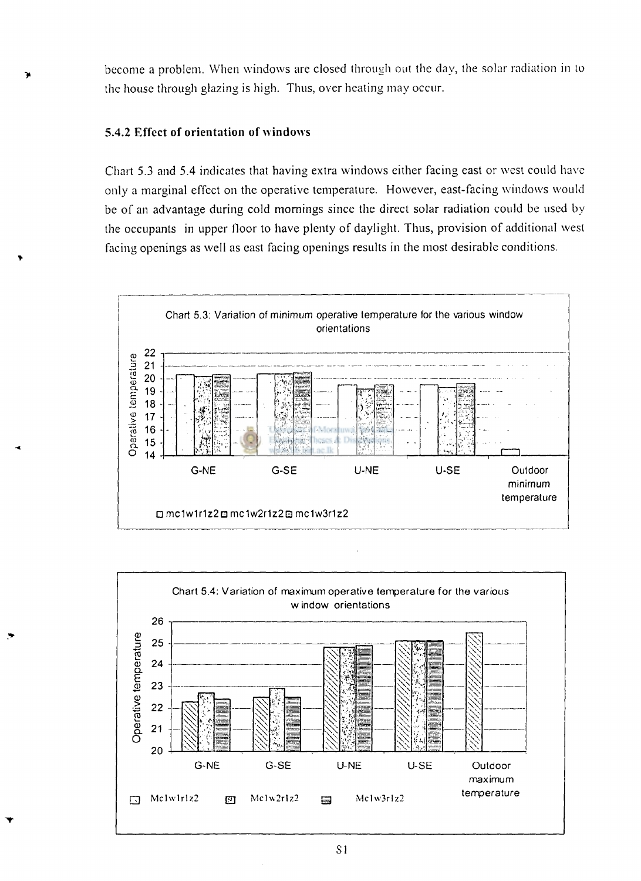become a problem. When windows are closed through out the day, the solar radiation in to the house through glazing is high. Thus, over heating may occur.

# **5.4.2 Effect of orientation of windows**

Chart **5**.3 and **5.4** indicates that having extra windows either facing east or west could have only a marginal effect on the operative temperature. However, east-facing windows would be of an advantage during cold mornings since the direct solar radiation could be used by the occupants in upper floor to have plenty of daylight. Thus, provision of additional west facing openings as well as east facing openings results in the most desirable conditions.





SI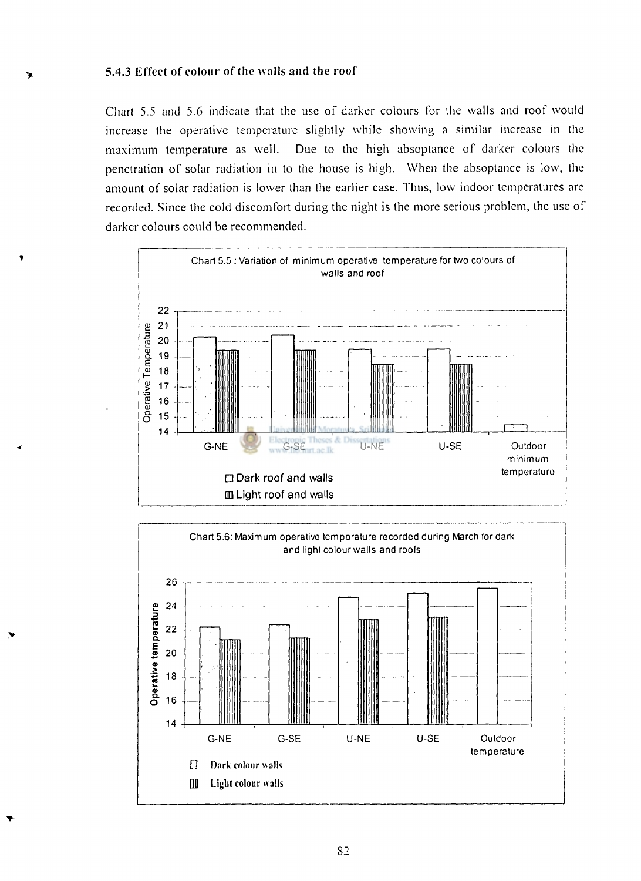### **5.4.3 Effect of colour of (he walls and the roof**

**>** 

Chart 5.5 and 5.6 indicate that the use of darker colours for the walls and roof would increase the operative temperature slightly while showing a similar increase in the maximum temperature as well. Due to the high absoptance of darker colours the penetration of solar radiation in to the house is high. When the absoptance is low, the amount of solar radiation is lower than the earlier case. Thus, low indoor temperatures are recorded. Since the cold discomfort during the night is the more serious problem, the use of darker colours could be recommended.



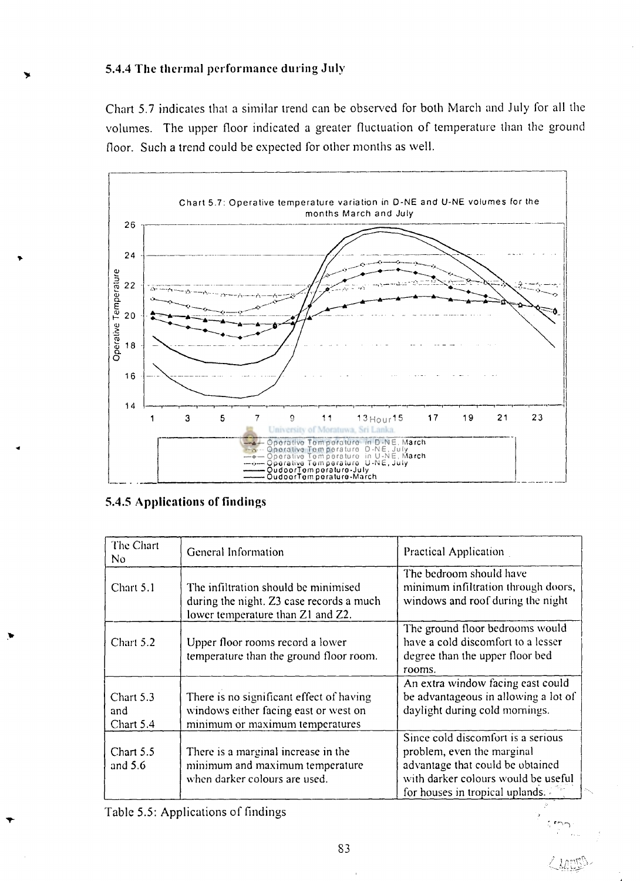# **5.4.4 The thermal performance during July**

Chart 5.7 indicates that a similar trend can be observed for both March and July for all the volumes. The upper floor indicated a greater fluctuation of temperature than the ground floor. Such a trend could be expected for other months as well.



**5.4.5 Applications of findings** 

| The Chart<br>No.              | General Information                                                                                                   | Practical Application                                                                                                                                                          |
|-------------------------------|-----------------------------------------------------------------------------------------------------------------------|--------------------------------------------------------------------------------------------------------------------------------------------------------------------------------|
| Chart 5.1                     | The infiltration should be minimised<br>during the night. Z3 case records a much<br>lower temperature than Z1 and Z2. | The bedroom should have<br>minimum infiltration through doors,<br>windows and roof during the night                                                                            |
| Chart 5.2                     | Upper floor rooms record a lower<br>temperature than the ground floor room.                                           | The ground floor bedrooms would<br>have a cold discomfort to a lesser<br>degree than the upper floor bed<br>rooms.                                                             |
| Chart 5.3<br>and<br>Chart 5.4 | There is no significant effect of having<br>windows either facing east or west on<br>minimum or maximum temperatures  | An extra window facing east could<br>be advantageous in allowing a lot of<br>daylight during cold mornings.                                                                    |
| Chart 5.5<br>and $5.6$        | There is a marginal increase in the<br>minimum and maximum temperature<br>when darker colours are used.               | Since cold discomfort is a serious<br>problem, even the marginal<br>advantage that could be obtained<br>with darker colours would be useful<br>for houses in tropical uplands. |

Table 5.5: Applications of findings